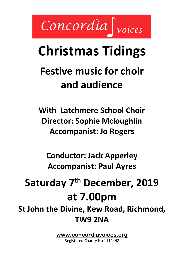Concordia

# **Christmas Tidings**

# **Festive music for choir and audience**

**With Latchmere School Choir Director: Sophie Mcloughlin Accompanist: Jo Rogers**

**Conductor: Jack Apperley Accompanist: Paul Ayres**

# **Saturday 7th December, 2019 at 7.00pm**

**St John the Divine, Kew Road, Richmond, TW9 2NA**

**[www.concordiavoices.org](http://www.concordiavoices.org/)**

Registered Charity No 1112448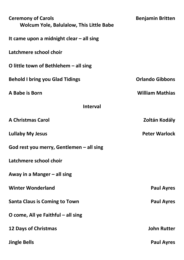| <b>Ceremony of Carols</b><br><b>Wolcum Yole, Balulalow, This Little Babe</b> | <b>Benjamin Britten</b> |  |  |
|------------------------------------------------------------------------------|-------------------------|--|--|
| It came upon a midnight clear $-$ all sing                                   |                         |  |  |
| Latchmere school choir                                                       |                         |  |  |
| O little town of Bethlehem $-$ all sing                                      |                         |  |  |
| <b>Behold I bring you Glad Tidings</b>                                       | <b>Orlando Gibbons</b>  |  |  |
| A Babe is Born                                                               | <b>William Mathias</b>  |  |  |
| <b>Interval</b>                                                              |                         |  |  |
| <b>A Christmas Carol</b>                                                     | Zoltán Kodály           |  |  |
| <b>Lullaby My Jesus</b>                                                      | <b>Peter Warlock</b>    |  |  |
| God rest you merry, Gentlemen $-$ all sing                                   |                         |  |  |
| Latchmere school choir                                                       |                         |  |  |
| Away in a Manger $-$ all sing                                                |                         |  |  |
| <b>Winter Wonderland</b>                                                     | <b>Paul Ayres</b>       |  |  |
| <b>Santa Claus is Coming to Town</b>                                         | <b>Paul Ayres</b>       |  |  |
| O come, All ye Faithful $-$ all sing                                         |                         |  |  |
| <b>12 Days of Christmas</b>                                                  | <b>John Rutter</b>      |  |  |
| <b>Jingle Bells</b>                                                          | <b>Paul Ayres</b>       |  |  |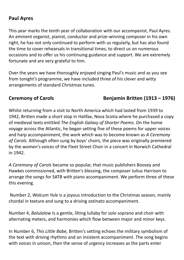### **Paul Ayres**

This year marks the tenth year of collaboration with our accompanist, Paul Ayres. An eminent organist, pianist, conductor and prize-winning composer in his own right, he has not only continued to perform with us regularly, but has also found the time to cover rehearsals in transitional times, to direct us on numerous occasions and to offer us his continuing guidance and support. We are extremely fortunate and are very grateful to him.

Over the years we have thoroughly enjoyed singing Paul's music and as you see from tonight's programme, we have included three of his clever and witty arrangements of standard Christmas tunes.

### **Ceremony of Carols Benjamin Britten (1913 – 1976)**

Whilst returning from a visit to North America which had lasted from 1939 to 1942, Britten made a short stop in Halifax, Nova Scotia where he purchased a copy of medieval texts entitled *The English Galaxy of Shorter Poems.* On the home voyage across the Atlantic, he began setting five of these poems for upper voices and harp accompaniment, the work which was to become known as *A Ceremony of Carols.* Although often sung by boys' choirs, the piece was originally premiered by the women's voices of the Fleet Street Choir in a concert in Norwich Cathedral in 1942.

*A Ceremony of Carols* became so popular, that music publishers Boosey and Hawkes commissioned, with Britten's blessing, the composer Julius Harrison to arrange the songs for SATB with piano accompaniment. We perform three of these this evening.

Number 2, *Wolcum Yule* is a joyous introduction to the Christmas season, mainly chordal in texture and sung to a driving ostinato accompaniment.

Number 4, *Balulalow* Is a gentle, lilting lullaby for solo soprano and choir with alternating meters, and harmonies which flow between major and minor keys.

In Number 6, *This Little Babe,* Britten's setting echoes the military symbolism of the text with driving rhythms and an insistent accompaniment. The song begins with voices in unison, then the sense of urgency increases as the parts enter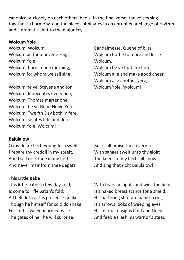canonically, closely on each others' heels! In the final verse, the voices sing together in harmony, and the piece culminates in an abrupt gear change of rhythm and a dramatic shift to the major key.

#### **Wolcum Yole**

Wolcum, Wolcum, Wolcum be thou hevenè king, Wolcum Yole! Wolcum, born in one morning, Wolcum for whom we sall sing!

Wolcum be ye, Stevene and Jon, Wolcum, Innocentes every one, Wolcum, Thomas marter one, Wolcum, be ye Good Newe Yere, Wolcum, Twelfth Day both in fere, Wolcum, seintes lefe and dere, Wolcum Yole, Wolcum!

Candelmesse, Quene of bliss, Wolcum bothe to more and lesse Wolcum,

Wolcum be ye that are here, Wolcum alle and make good cheer. Wolcum alle another yere, Wolcum Yole, Wolcum!

#### **Balulalow**

O my deare hert, young Jesu sweit, Prepare thy creddil in my spreit, And I sall rock thee in my hert, And never mair from thee depart.

#### **This Little Babe**

This little babe so few days old, Is come to rifle Satan's fold; All hell doth at his presence quake, Though he himself for cold do shake; For in this week unarmèd wise The gates of hell he will surprise.

But I sall praise thee evermoir With sanges sweit unto thy gloir; The knees of my hert sall I bow, And sing that richt Balulalow!

With tears he fights and wins the field, His naked breast stands for a shield, His battering shot are babish cries, His arrows looks of weeping eyes, His martial ensigns Cold and Need, And feeble Flesh his warrior's steed.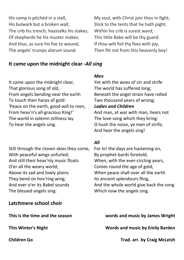His camp is pitchèd in a stall, His bulwark but a broken wall; The crib his trench, haystalks his stakes; Of shepherds he his muster makes; And thus, as sure his foe to wound, The angels' trumps alarum sound.

My soul, with Christ join thou in fight; Stick to the tents that he hath pight. Within his crib is surest ward; This little Babe will be thy guard. If thou wilt foil thy foes with joy, Then flit not from this heavenly boy!

#### **It came upon the midnight clear -***All sing*

It came upon the midnight clear, That glorious song of old, From angels bending near the earth To touch their harps of gold: 'Peace on the earth, good-will to men, From heav'n's all-gracious King!' The world in solemn stillness lay To hear the angels sing.

Still through the cloven skies they come, With peaceful wings unfurled; And still their heav'nly music floats O'er all the weary world; Above its sad and lowly plains They bend on hov'ring wing; And ever o'er its Babel sounds The blessed angels sing.

#### **Latchmere school choir**

#### *Men*

Yet with the woes of sin and strife The world has suffered long; Beneath the angel strain have rolled Two thousand years of wrong; *Ladies and Children*

And man, at war with man, hears not The love-song which they bring: O hush the noise, ye men of strife, And hear the angels sing!

#### *All*

For lo! the days are hastening on, By prophet-bards foretold, When, with the ever-circling years, Comes round the age of gold; When peace shall over all the earth Its ancient splendours fling, And the whole world give back the song Which now the angels sing.

#### **This is the time and the season words and music by James Wright**

**This Winter's Night Words and music by Emily Barden**

**Children Go Trad. arr. by Craig McLeish**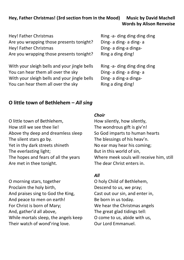#### **Hey, Father Christmas! (3rd section from In the Mood) Music by David Machell Words by Alison Renvoise**

Hey! Father Christmas Are you wrapping those presents tonight? Hey! Father Christmas Are you wrapping those presents tonight?

With your sleigh bells and your jingle bells You can hear them all over the sky With your sleigh bells and your jingle bells You can hear them all over the sky

Ring -a- ding ding ding ding Ding- a ding- a ding- a Ding- a ding-a dinga-Ring a ding ding!

Ring -a- ding ding ding ding Ding- a ding- a ding- a Ding- a ding-a dinga-Ring a ding ding!

#### **O little town of Bethlehem –** *All sing*

O little town of Bethlehem, How still we see thee lie! Above thy deep and dreamless sleep The silent stars go by. Yet in thy dark streets shineth The everlasting light; The hopes and fears of all the years Are met in thee tonight.

O morning stars, together Proclaim the holy birth, And praises sing to God the King, And peace to men on earth! For Christ is born of Mary; And, gather'd all above, While mortals sleep, the angels keep Their watch of wond'ring love.

#### *Choir*

How silently, how silently, The wondrous gift is giv'n! So God imparts to human hearts The blessings of his heav'n. No ear may hear his coming; But in this world of sin, Where meek souls will receive him, still The dear Christ enters in.

#### *All*

O holy Child of Bethlehem, Descend to us, we pray; Cast out our sin, and enter in, Be born in us today. We hear the Christmas angels The great glad tidings tell: O come to us, abide with us, Our Lord Emmanuel.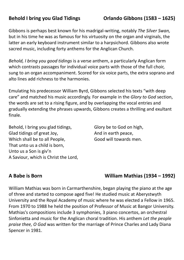Gibbons is perhaps best known for his madrigal-writing, notably *The Silver Swan,*  but in his time he was as famous for his virtuosity on the organ and virginals, the latter an early keyboard instrument similar to a harpsichord. Gibbons also wrote sacred music, including forty anthems for the Anglican Church.

*Behold, I bring you good tidings* is a verse anthem, a particularly Anglican form which contrasts passages for individual voice parts with those of the full choir, sung to an organ accompaniment. Scored for six voice parts, the extra soprano and alto lines add richness to the harmonies.

Emulating his predecessor William Byrd, Gibbons selected his texts "with deep care" and matched his music accordingly. For example in the *Glory to God* section, the words are set to a rising figure, and by overlapping the vocal entries and gradually extending the phrases upwards, Gibbons creates a thrilling and exultant finale.

Behold, I bring you glad tidings, Glad tidings of great Joy, Which shall be to all People, That unto us a child is born, Unto us a Son is giv'n A Saviour, which is Christ the Lord, Glory be to God on high, And in earth peace, Good will towards men.

**A Babe is Born William Mathias (1934 – 1992)**

William Mathias was born in Carmarthenshire, began playing the piano at the age of three and started to compose aged five! He studied music at Aberystwyth University and the Royal Academy of music where he was elected a Fellow in 1965. From 1970 to 1988 he held the position of Professor of Music at Bangor University. Mathias's compositions include 3 symphonies, 3 piano concertos, an orchestral Sinfonietta and music for the Anglican choral tradition. His anthem *Let the people praise thee, O God* was written for the marriage of Prince Charles and Lady Diana Spencer in 1981.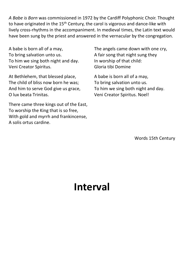*A Babe is Born* was commissioned in 1972 by the Cardiff Polyphonic Choir. Thought to have originated in the 15<sup>th</sup> Century, the carol is vigorous and dance-like with lively cross-rhythms in the accompaniment. In medieval times, the Latin text would have been sung by the priest and answered in the vernacular by the congregation.

A babe is born all of a may, To bring salvation unto us. To him we sing both night and day. Veni Creator Spiritus.

At Bethlehem, that blessed place, The child of bliss now born he was; And him to serve God give us grace, O lux beata Trinitas.

There came three kings out of the East, To worship the King that is so free, With gold and myrrh and frankincense, A solis ortus cardine.

The angels came down with one cry, A fair song that night sung they In worship of that child: Gloria tibi Domine

A babe is born all of a may, To bring salvation unto us. To him we sing both night and day. Veni Creator Spiritus. Noel!

Words 15th Century

## **Interval**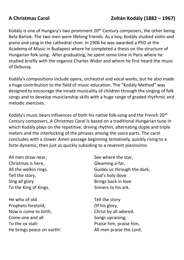### **A Christmas Carol Zoltán Kodály (1882 – 1967)**

Kodály is one of Hungary's two prominent 20<sup>th</sup> Century composers, the other being Bela Bartok. The two men were lifelong friends. As a boy, Kodály studied violin and piano and sang in the cathedral choir. In 1906 he was awarded a PhD at the Academy of Music in Budapest where he completed a thesis on the structure of Hungarian folk-song. After graduating, he spent some time in Paris where he studied briefly with the organist Charles Widor and where he first heard the music of Debussy.

Kodály's compositions include opera, orchestral and vocal works, but he also made a huge contribution to the field of music education. The "Kodály Method" was designed to encourage the innate musicality of children through the singing of folk songs and to develop musicianship skills with a huge range of graded rhythmic and melodic exercises.

Kodály's music bears influences of both his native folk-song and the French 20th Century composers, *A Christmas Carol* is based on a traditional Hungarian tune in which Kodály plays on the repetitive, driving rhythm, alternating duple and triple meters and the interlocking of the phrases among the voice parts. The carol concludes with a slower *Amen* passage beginning tentatively, quickly rising to a forte dynamic, then just as quickly subsiding to a reverent pianissimo.

All men draw near, Christmas is here, All the welkin rings. Tell the story, Sing all glory To the King of Kings.

He who of old Prophets foretold, Now is come to birth, Come one and all To the ox stall: He brings peace on earth! See where the star, Gleaming a-far, Guides us through the dark, God's holy dove Brings back in love Sinners to his ark.

Tell the story Of his glory, Christ by all adored. Songs upraising, Praise him, praise him, All men praise the Lord.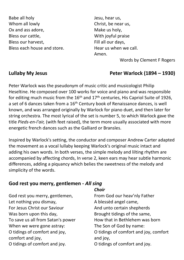Babe all holy Whom all lowly Ox and ass adore, Bless our cattle, Bless our harvest, Bless each house and store. Jesu, hear us, Christ, be near us, Make us holy, With joyful praise Fill all our days, Hear us when we call. Amen.

Words by Clement F Rogers

#### **Lullaby My Jesus Peter Warlock (1894 – 1930)**

Peter Warlock was the pseudonym of music critic and musicologist Philip Heseltine. He composed over 100 works for voice and piano and was responsible for editing much music from the  $16<sup>th</sup>$  and  $17<sup>th</sup>$  centuries, His Capriol Suite of 1926, a set of 6 dances taken from a 16<sup>th</sup> Century book of Renaissance dances, is well known, and was arranged originally by Warlock for piano duet, and then later for string orchestra. The most lyrical of the set is number 5, to which Warlock gave the title *Pieds-en-l'air,* (with feet raised), the term more usually associated with more energetic french dances such as the Galliard or Bransles.

Inspired by Warlock's setting, the conductor and composer Andrew Carter adapted the movement as a vocal lullaby keeping Warlock's original music intact and adding his own words. In both verses, the simple melody and lilting rhythm are accompanied by affecting chords, In verse 2, keen ears may hear subtle harmonic differences, adding a piquancy which belies the sweetness of the melody and simplicity of the words.

#### **God rest you merry, gentlemen -** *All sing*

God rest you merry, gentlemen, Let nothing you dismay, For Jesus Christ our Saviour Was born upon this day, To save us all from Satan's power When we were gone astray: O tidings of comfort and joy, comfort and joy, O tidings of comfort and joy.

#### *Choir*

From God our heav'nly Father A blessèd angel came, And unto certain shepherds Brought tidings of the same, How that in Bethlehem was born The Son of God by name: O tidings of comfort and joy, comfort and joy, O tidings of comfort and joy.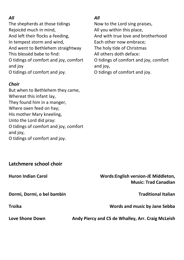#### *All*

The shepherds at those tidings Rejoicèd much in mind, And left their flocks a-feeding, In tempest storm and wind, And went to Bethlehem straightway This blessèd babe to find: O tidings of comfort and joy, comfort and joy O tidings of comfort and joy.

#### *Choir*

But when to Bethlehem they came, Whereat this infant lay, They found him in a manger, Where oxen feed on hay; His mother Mary kneeling, Unto the Lord did pray: O tidings of comfort and joy, comfort and joy, O tidings of comfort and joy.

#### *All*

Now to the Lord sing praises,

All you within this place,

And with true love and brotherhood

Each other now embrace;

The holy tide of Christmas

All others doth deface:

O tidings of comfort and joy, comfort and joy,

O tidings of comfort and joy.

#### **Latchmere school choir**

## **Huron Indian Carol Words:English version-JE Middleton,**

**Dormi, Dormi, o bel bambin Traditional Italian** 

**Music: Trad Canadian**

**Troika Words and music by Jane Sebba**

**Love Shone Down Andy Piercy and CS de Whalley, Arr. Craig McLeish**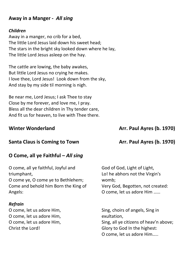#### **Away in a Manger -** *All sing*

#### *Children*

Away in a manger, no crib for a bed, The little Lord Jesus laid down his sweet head; The stars in the bright sky looked down where he lay, The little Lord Jesus asleep on the hay.

The cattle are lowing, the baby awakes, But little Lord Jesus no crying he makes. I love thee, Lord Jesus! Look down from the sky, And stay by my side til morning is nigh.

Be near me, Lord Jesus; I ask Thee to stay Close by me forever, and love me, I pray. Bless all the dear children in Thy tender care, And fit us for heaven, to live with Thee there.

#### **Winter Wonderland Arr. Paul Ayres** (b. 1970)

#### **Santa Claus is Coming to Town Arr. Paul Ayres** (b. 1970)

#### **O Come, all ye Faithful –** *All sing*

O come, all ye faithful, Joyful and triumphant, O come ye, O come ye to Bethlehem; Come and behold him Born the King of Angels:

#### *Refrain*

O come, let us adore Him, O come, let us adore Him, O come, let us adore Him, Christ the Lord!

God of God, Light of Light, Lo! he abhors not the Virgin's womb; Very God, Begotten, not created: O come, let us adore Him ……

Sing, choirs of angels, Sing in exultation, Sing, all ye citizens of heav'n above; Glory to God In the highest: O come, let us adore Him…..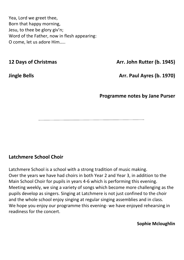Yea, Lord we greet thee, Born that happy morning, Jesu, to thee be glory giv'n; Word of the Father, now in flesh appearing: O come, let us adore Him…..

**12 Days of Christmas Arr. John Rutter (b. 1945)** 

**Jingle Bells Arr. Paul Ayres (b. 1970)**

**Programme notes by Jane Purser**

#### **Latchmere School Choir**

Latchmere School is a school with a strong tradition of music making. Over the years we have had choirs in both Year 2 and Year 3, in addition to the Main School Choir for pupils in years 4-6 which is performing this evening. Meeting weekly, we sing a variety of songs which become more challenging as the pupils develop as singers. Singing at Latchmere is not just confined to the choir and the whole school enjoy singing at regular singing assemblies and in class. We hope you enjoy our programme this evening- we have enjoyed rehearsing in readiness for the concert.

**Sophie Mcloughlin**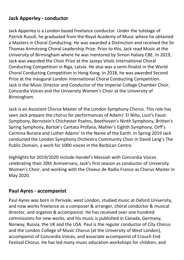### **Jack Apperley - conductor**

Jack Apperley is a London based freelance conductor. Under the tutelage of Patrick Russill, he graduated from the Royal Academy of Music where he obtained a Masters in Choral Conducting. He was awarded a Distinction and received the Sir Thomas Armstrong Choral Leadership Prize. Prior to this, Jack read Music at the University of Birmingham where he was mentored by Simon Halsey CBE. In 2019, Jack was awarded the Choir Prize at the Jazeps Vitols International Choral Conducting Competition in Riga, Latvia. He also was a semi-finalist in the World Choral Conducting Competition in Hong Kong. In 2018, he was awarded Second Prize at the inaugural London International Choral Conducting Competition. Jack is the Music Director and Conductor of the Imperial College Chamber Choir, Concordia Voices and the University Women's Choir at the University of Birmingham.

Jack is an Assistant Chorus Master of the London Symphony Chorus. This role has seen Jack prepare the chorus for performances of Adams' El Niňo, Liszt's Faust Symphony, Bernstein's Chichester Psalms, Beethoven's Ninth Symphony, Britten's Spring Symphony, Bartok's Cantata Profana, Mahler's Eighth Symphony, Orff's Carmina Burana and Luther Adams' In the Name of the Earth. In Spring 2019 Jack conducted the London Symphony Orchestra Community Choir in David Lang's The Public Domain, a work for 1000 voices in the Barbican Centre.

Highlights for 2019/2020 include Handel's Messiah with Concordia Voices celebrating their 20th Anniversary, Jack's first season as conductor of University Women's Choir, and working with the Choeur de Radio France as Chorus Master in May 2020.

#### **Paul Ayres - accompanist**

Paul Ayres was born in Perivale, west London, studied music at Oxford University, and now works freelance as a composer & arranger, choral conductor & musical director, and organist & accompanist. He has received over one hundred commissions for new works, and his music is published in Canada, Germany, Norway, Russia, the UK and the USA. Paul is the regular conductor of City Chorus and the London College of Music Chorus (at the University of West London), accompanist of Concordia Voices, and associate accompanist of Crouch End Festival Chorus. He has led many music education workshops for children, and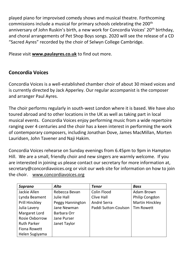played piano for improvised comedy shows and musical theatre. Forthcoming commissions include a musical for primary schools celebrating the 200th anniversary of John Ruskin's birth, a new work for Concordia Voices' 20<sup>th</sup> birthday, and choral arrangements of Pet Shop Boys songs. 2020 will see the release of a CD "Sacred Ayres" recorded by the choir of Selwyn College Cambridge.

Please visit **[www.paulayres.co.uk](http://www.paulayres.co.uk/)** to find out more.

### **Concordia Voices**

Concordia Voices is a well-established chamber choir of about 30 mixed voices and is currently directed by Jack Apperley. Our regular accompanist is the composer and arranger Paul Ayres.

The choir performs regularly in south-west London where it is based. We have also toured abroad and to other locations in the UK as well as taking part in local musical events. Concordia Voices enjoy performing music from a wide repertoire ranging over 4 centuries and the choir has a keen interest in performing the work of contemporary composers, including Jonathan Dove, James MacMillan, Morten Lauridsen, John Tavener and Naji Hakim.

Concordia Voices rehearse on Sunday evenings from 6.45pm to 9pm in Hampton Hill. We are a small, friendly choir and new singers are warmly welcome. If you are interested in joining us please contact our secretary for more information at, [secretary@concordiavoices.org](mailto:secretary@concordiavoices.org) or visit our web site for information on how to join the choir. [www.concordiavoices.org](http://www.concordiavoices.org/)

| Soprano               | Alto              | Tenor                | <b>Bass</b>            |
|-----------------------|-------------------|----------------------|------------------------|
| Jackie Allen          | Rebecca Bevan     | Colin Flood          | Adam Brown             |
| Lynda Beament         | <b>Julie Hall</b> | <b>Clive Hall</b>    | Philip Congdon         |
| <b>Prill Hinckley</b> | Peggy Hannington  | André Serra          | <b>Martin Hinckley</b> |
| Julia Lavery          | Jane Newman       | Paddi Sutton-Coulson | <b>Tim Rowett</b>      |
| Margaret Lord         | Barbara Orr       |                      |                        |
| Rosie Oxborrow        | Jane Purser       |                      |                        |
| <b>Ruth Parker</b>    | Janet Taylor      |                      |                        |
| Fiona Rowett          |                   |                      |                        |
| Helen Sugiyama        |                   |                      |                        |